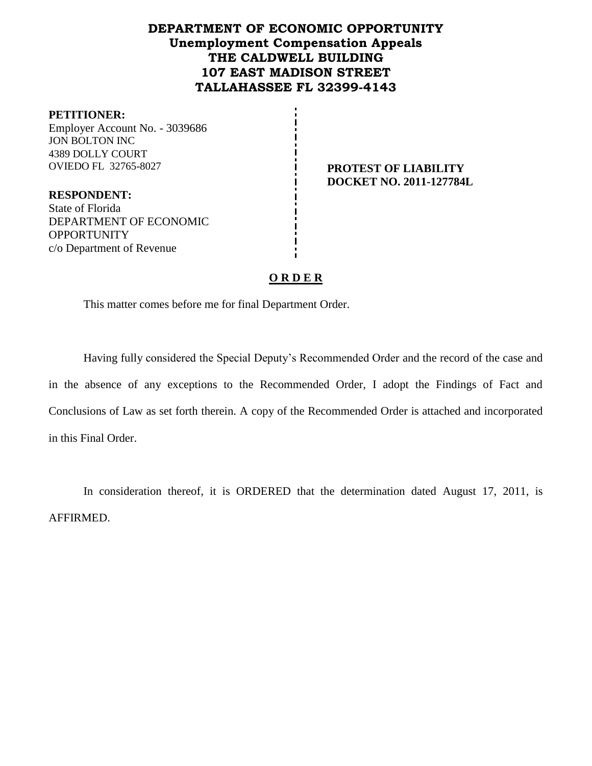# **DEPARTMENT OF ECONOMIC OPPORTUNITY Unemployment Compensation Appeals THE CALDWELL BUILDING 107 EAST MADISON STREET TALLAHASSEE FL 32399-4143**

#### **PETITIONER:**

Employer Account No. - 3039686 JON BOLTON INC 4389 DOLLY COURT OVIEDO FL 32765-8027 **PROTEST OF LIABILITY** 

**DOCKET NO. 2011-127784L**

**RESPONDENT:** State of Florida DEPARTMENT OF ECONOMIC **OPPORTUNITY** c/o Department of Revenue

## **O R D E R**

This matter comes before me for final Department Order.

Having fully considered the Special Deputy's Recommended Order and the record of the case and in the absence of any exceptions to the Recommended Order, I adopt the Findings of Fact and Conclusions of Law as set forth therein. A copy of the Recommended Order is attached and incorporated in this Final Order.

In consideration thereof, it is ORDERED that the determination dated August 17, 2011, is AFFIRMED.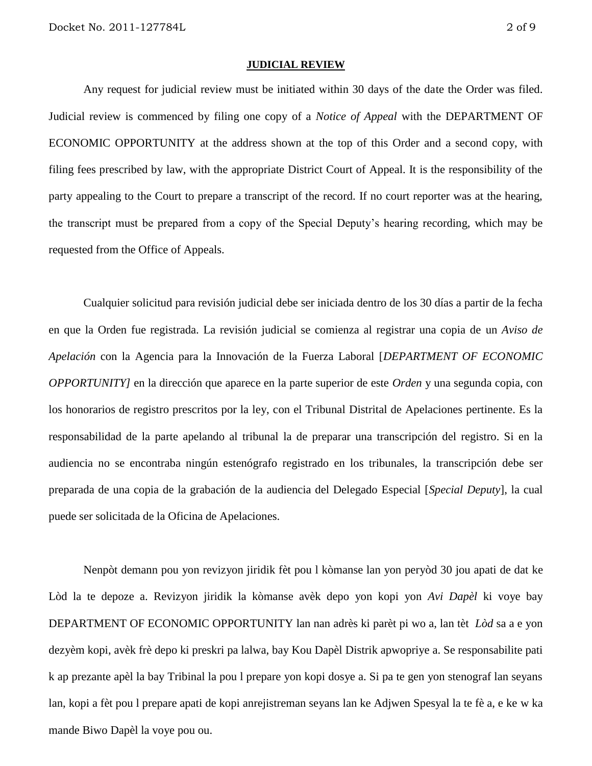#### **JUDICIAL REVIEW**

Any request for judicial review must be initiated within 30 days of the date the Order was filed. Judicial review is commenced by filing one copy of a *Notice of Appeal* with the DEPARTMENT OF ECONOMIC OPPORTUNITY at the address shown at the top of this Order and a second copy, with filing fees prescribed by law, with the appropriate District Court of Appeal. It is the responsibility of the party appealing to the Court to prepare a transcript of the record. If no court reporter was at the hearing, the transcript must be prepared from a copy of the Special Deputy's hearing recording, which may be requested from the Office of Appeals.

Cualquier solicitud para revisión judicial debe ser iniciada dentro de los 30 días a partir de la fecha en que la Orden fue registrada. La revisión judicial se comienza al registrar una copia de un *Aviso de Apelación* con la Agencia para la Innovación de la Fuerza Laboral [*DEPARTMENT OF ECONOMIC OPPORTUNITY]* en la dirección que aparece en la parte superior de este *Orden* y una segunda copia, con los honorarios de registro prescritos por la ley, con el Tribunal Distrital de Apelaciones pertinente. Es la responsabilidad de la parte apelando al tribunal la de preparar una transcripción del registro. Si en la audiencia no se encontraba ningún estenógrafo registrado en los tribunales, la transcripción debe ser preparada de una copia de la grabación de la audiencia del Delegado Especial [*Special Deputy*], la cual puede ser solicitada de la Oficina de Apelaciones.

Nenpòt demann pou yon revizyon jiridik fèt pou l kòmanse lan yon peryòd 30 jou apati de dat ke Lòd la te depoze a. Revizyon jiridik la kòmanse avèk depo yon kopi yon *Avi Dapèl* ki voye bay DEPARTMENT OF ECONOMIC OPPORTUNITY lan nan adrès ki parèt pi wo a, lan tèt *Lòd* sa a e yon dezyèm kopi, avèk frè depo ki preskri pa lalwa, bay Kou Dapèl Distrik apwopriye a. Se responsabilite pati k ap prezante apèl la bay Tribinal la pou l prepare yon kopi dosye a. Si pa te gen yon stenograf lan seyans lan, kopi a fèt pou l prepare apati de kopi anrejistreman seyans lan ke Adjwen Spesyal la te fè a, e ke w ka mande Biwo Dapèl la voye pou ou.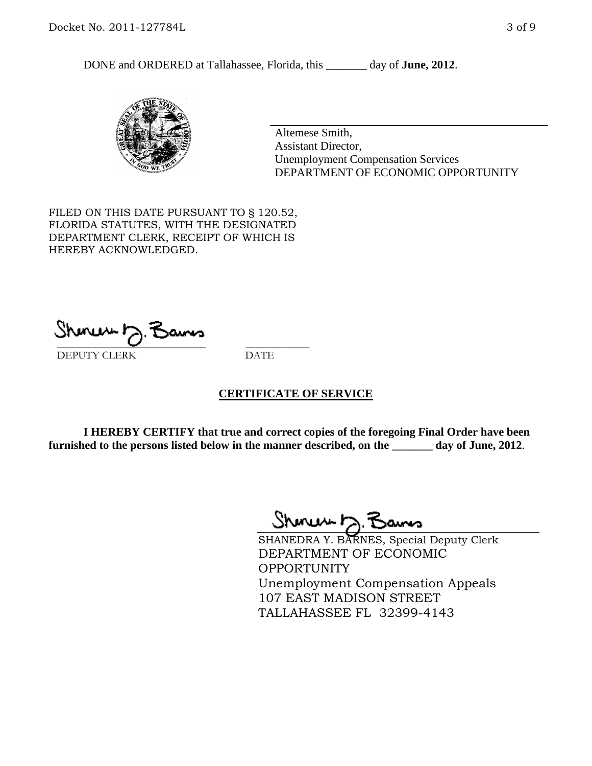DONE and ORDERED at Tallahassee, Florida, this \_\_\_\_\_\_\_ day of **June, 2012**.



Altemese Smith, Assistant Director, Unemployment Compensation Services DEPARTMENT OF ECONOMIC OPPORTUNITY

FILED ON THIS DATE PURSUANT TO § 120.52, FLORIDA STATUTES, WITH THE DESIGNATED DEPARTMENT CLERK, RECEIPT OF WHICH IS HEREBY ACKNOWLEDGED.

 $\mathcal{S}$ hmun $\mapsto$   $\mathcal{S}$ amo DEPUTY CLERK DATE

#### **CERTIFICATE OF SERVICE**

**I HEREBY CERTIFY that true and correct copies of the foregoing Final Order have been furnished to the persons listed below in the manner described, on the \_\_\_\_\_\_\_ day of June, 2012**.

Shoner D. Bams

SHANEDRA Y. BARNES, Special Deputy Clerk DEPARTMENT OF ECONOMIC OPPORTUNITY Unemployment Compensation Appeals 107 EAST MADISON STREET TALLAHASSEE FL 32399-4143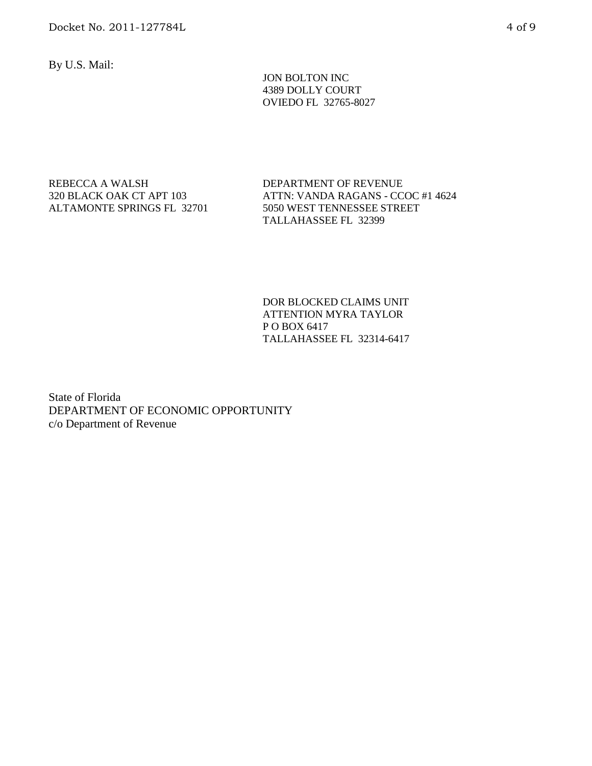By U.S. Mail:

 JON BOLTON INC 4389 DOLLY COURT OVIEDO FL 32765-8027

#### REBECCA A WALSH 320 BLACK OAK CT APT 103 ALTAMONTE SPRINGS FL 32701

DEPARTMENT OF REVENUE ATTN: VANDA RAGANS - CCOC #1 4624 5050 WEST TENNESSEE STREET TALLAHASSEE FL 32399

DOR BLOCKED CLAIMS UNIT ATTENTION MYRA TAYLOR P O BOX 6417 TALLAHASSEE FL 32314-6417

State of Florida DEPARTMENT OF ECONOMIC OPPORTUNITY c/o Department of Revenue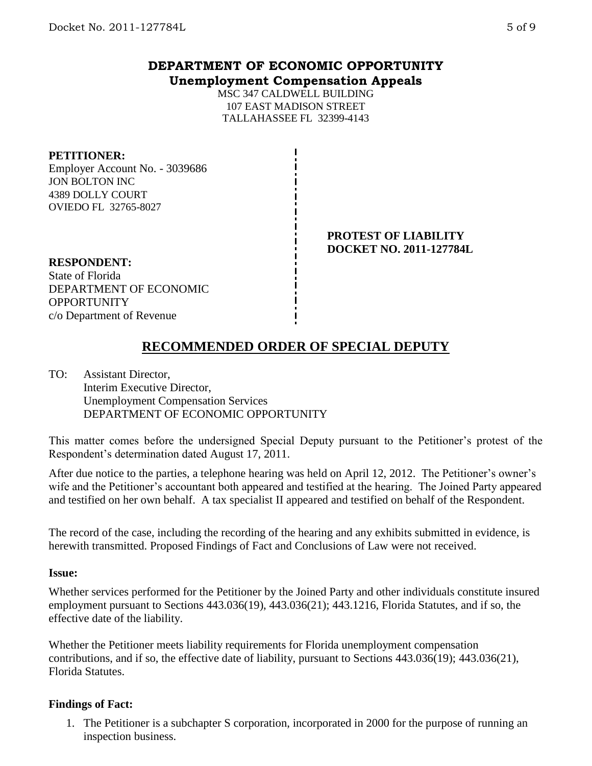# **DEPARTMENT OF ECONOMIC OPPORTUNITY Unemployment Compensation Appeals**

MSC 347 CALDWELL BUILDING 107 EAST MADISON STREET TALLAHASSEE FL 32399-4143

#### **PETITIONER:**

Employer Account No. - 3039686 JON BOLTON INC 4389 DOLLY COURT OVIEDO FL 32765-8027

#### **PROTEST OF LIABILITY DOCKET NO. 2011-127784L**

**RESPONDENT:** State of Florida DEPARTMENT OF ECONOMIC **OPPORTUNITY** c/o Department of Revenue

# **RECOMMENDED ORDER OF SPECIAL DEPUTY**

TO: Assistant Director, Interim Executive Director, Unemployment Compensation Services DEPARTMENT OF ECONOMIC OPPORTUNITY

This matter comes before the undersigned Special Deputy pursuant to the Petitioner's protest of the Respondent's determination dated August 17, 2011.

After due notice to the parties, a telephone hearing was held on April 12, 2012. The Petitioner's owner's wife and the Petitioner's accountant both appeared and testified at the hearing. The Joined Party appeared and testified on her own behalf. A tax specialist II appeared and testified on behalf of the Respondent.

The record of the case, including the recording of the hearing and any exhibits submitted in evidence, is herewith transmitted. Proposed Findings of Fact and Conclusions of Law were not received.

#### **Issue:**

Whether services performed for the Petitioner by the Joined Party and other individuals constitute insured employment pursuant to Sections 443.036(19), 443.036(21); 443.1216, Florida Statutes, and if so, the effective date of the liability.

Whether the Petitioner meets liability requirements for Florida unemployment compensation contributions, and if so, the effective date of liability, pursuant to Sections 443.036(19); 443.036(21), Florida Statutes.

## **Findings of Fact:**

1. The Petitioner is a subchapter S corporation, incorporated in 2000 for the purpose of running an inspection business.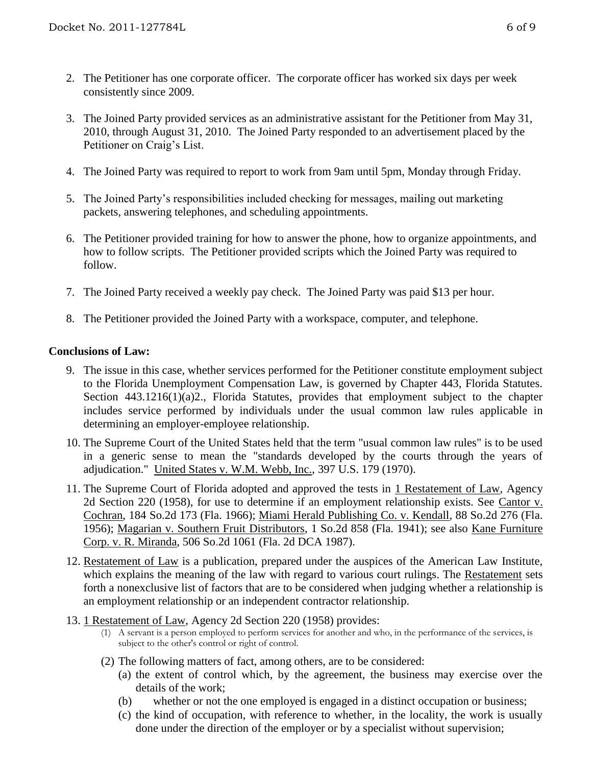- 2. The Petitioner has one corporate officer. The corporate officer has worked six days per week consistently since 2009.
- 3. The Joined Party provided services as an administrative assistant for the Petitioner from May 31, 2010, through August 31, 2010. The Joined Party responded to an advertisement placed by the Petitioner on Craig's List.
- 4. The Joined Party was required to report to work from 9am until 5pm, Monday through Friday.
- 5. The Joined Party's responsibilities included checking for messages, mailing out marketing packets, answering telephones, and scheduling appointments.
- 6. The Petitioner provided training for how to answer the phone, how to organize appointments, and how to follow scripts. The Petitioner provided scripts which the Joined Party was required to follow.
- 7. The Joined Party received a weekly pay check. The Joined Party was paid \$13 per hour.
- 8. The Petitioner provided the Joined Party with a workspace, computer, and telephone.

## **Conclusions of Law:**

- 9. The issue in this case, whether services performed for the Petitioner constitute employment subject to the Florida Unemployment Compensation Law, is governed by Chapter 443, Florida Statutes. Section 443.1216(1)(a)2., Florida Statutes, provides that employment subject to the chapter includes service performed by individuals under the usual common law rules applicable in determining an employer-employee relationship.
- 10. The Supreme Court of the United States held that the term "usual common law rules" is to be used in a generic sense to mean the "standards developed by the courts through the years of adjudication." United States v. W.M. Webb, Inc., 397 U.S. 179 (1970).
- 11. The Supreme Court of Florida adopted and approved the tests in 1 Restatement of Law, Agency 2d Section 220 (1958), for use to determine if an employment relationship exists. See Cantor v. Cochran, 184 So.2d 173 (Fla. 1966); Miami Herald Publishing Co. v. Kendall, 88 So.2d 276 (Fla. 1956); Magarian v. Southern Fruit Distributors, 1 So.2d 858 (Fla. 1941); see also Kane Furniture Corp. v. R. Miranda, 506 So.2d 1061 (Fla. 2d DCA 1987).
- 12. Restatement of Law is a publication, prepared under the auspices of the American Law Institute, which explains the meaning of the law with regard to various court rulings. The Restatement sets forth a nonexclusive list of factors that are to be considered when judging whether a relationship is an employment relationship or an independent contractor relationship.
- 13. 1 Restatement of Law, Agency 2d Section 220 (1958) provides:
	- (1) A servant is a person employed to perform services for another and who, in the performance of the services, is subject to the other's control or right of control.
	- (2) The following matters of fact, among others, are to be considered:
		- (a) the extent of control which, by the agreement, the business may exercise over the details of the work;
		- (b) whether or not the one employed is engaged in a distinct occupation or business;
		- (c) the kind of occupation, with reference to whether, in the locality, the work is usually done under the direction of the employer or by a specialist without supervision;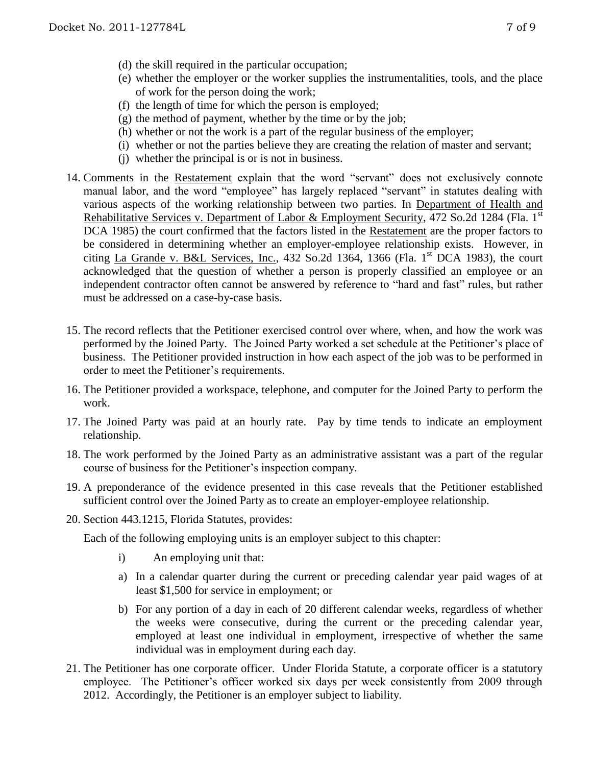- (d) the skill required in the particular occupation;
- (e) whether the employer or the worker supplies the instrumentalities, tools, and the place of work for the person doing the work;
- (f) the length of time for which the person is employed;
- $(g)$  the method of payment, whether by the time or by the job;
- (h) whether or not the work is a part of the regular business of the employer;
- (i) whether or not the parties believe they are creating the relation of master and servant;
- (j) whether the principal is or is not in business.
- 14. Comments in the Restatement explain that the word "servant" does not exclusively connote manual labor, and the word "employee" has largely replaced "servant" in statutes dealing with various aspects of the working relationship between two parties. In Department of Health and Rehabilitative Services v. Department of Labor & Employment Security, 472 So.2d 1284 (Fla. 1<sup>st</sup> DCA 1985) the court confirmed that the factors listed in the Restatement are the proper factors to be considered in determining whether an employer-employee relationship exists. However, in citing La Grande v. B&L Services, Inc.,  $432$  So.2d  $1364$ ,  $1366$  (Fla. 1<sup>st</sup> DCA 1983), the court acknowledged that the question of whether a person is properly classified an employee or an independent contractor often cannot be answered by reference to "hard and fast" rules, but rather must be addressed on a case-by-case basis.
- 15. The record reflects that the Petitioner exercised control over where, when, and how the work was performed by the Joined Party. The Joined Party worked a set schedule at the Petitioner's place of business. The Petitioner provided instruction in how each aspect of the job was to be performed in order to meet the Petitioner's requirements.
- 16. The Petitioner provided a workspace, telephone, and computer for the Joined Party to perform the work.
- 17. The Joined Party was paid at an hourly rate. Pay by time tends to indicate an employment relationship.
- 18. The work performed by the Joined Party as an administrative assistant was a part of the regular course of business for the Petitioner's inspection company.
- 19. A preponderance of the evidence presented in this case reveals that the Petitioner established sufficient control over the Joined Party as to create an employer-employee relationship.
- 20. Section 443.1215, Florida Statutes, provides:

Each of the following employing units is an employer subject to this chapter:

- i) An employing unit that:
- a) In a calendar quarter during the current or preceding calendar year paid wages of at least \$1,500 for service in employment; or
- b) For any portion of a day in each of 20 different calendar weeks, regardless of whether the weeks were consecutive, during the current or the preceding calendar year, employed at least one individual in employment, irrespective of whether the same individual was in employment during each day.
- 21. The Petitioner has one corporate officer. Under Florida Statute, a corporate officer is a statutory employee. The Petitioner's officer worked six days per week consistently from 2009 through 2012. Accordingly, the Petitioner is an employer subject to liability.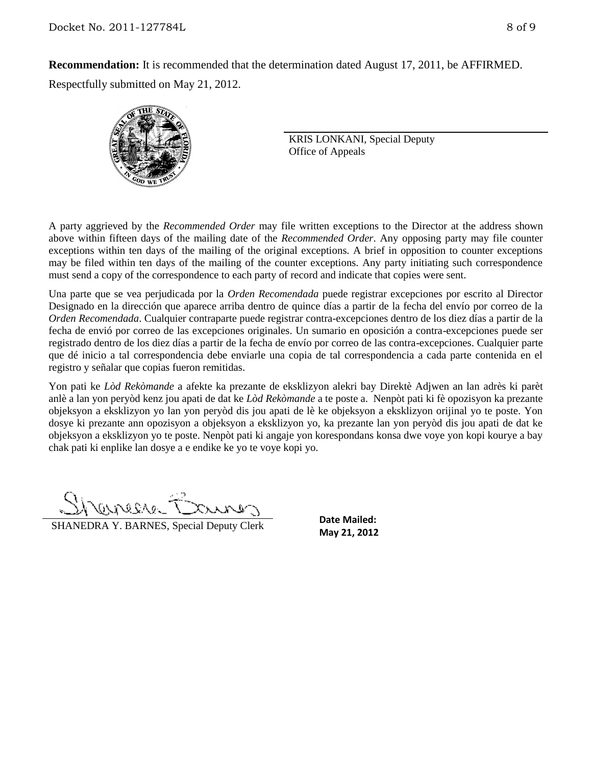**Recommendation:** It is recommended that the determination dated August 17, 2011, be AFFIRMED. Respectfully submitted on May 21, 2012.



KRIS LONKANI, Special Deputy Office of Appeals

A party aggrieved by the *Recommended Order* may file written exceptions to the Director at the address shown above within fifteen days of the mailing date of the *Recommended Order*. Any opposing party may file counter exceptions within ten days of the mailing of the original exceptions. A brief in opposition to counter exceptions may be filed within ten days of the mailing of the counter exceptions. Any party initiating such correspondence must send a copy of the correspondence to each party of record and indicate that copies were sent.

Una parte que se vea perjudicada por la *Orden Recomendada* puede registrar excepciones por escrito al Director Designado en la dirección que aparece arriba dentro de quince días a partir de la fecha del envío por correo de la *Orden Recomendada*. Cualquier contraparte puede registrar contra-excepciones dentro de los diez días a partir de la fecha de envió por correo de las excepciones originales. Un sumario en oposición a contra-excepciones puede ser registrado dentro de los diez días a partir de la fecha de envío por correo de las contra-excepciones. Cualquier parte que dé inicio a tal correspondencia debe enviarle una copia de tal correspondencia a cada parte contenida en el registro y señalar que copias fueron remitidas.

Yon pati ke *Lòd Rekòmande* a afekte ka prezante de eksklizyon alekri bay Direktè Adjwen an lan adrès ki parèt anlè a lan yon peryòd kenz jou apati de dat ke *Lòd Rekòmande* a te poste a. Nenpòt pati ki fè opozisyon ka prezante objeksyon a eksklizyon yo lan yon peryòd dis jou apati de lè ke objeksyon a eksklizyon orijinal yo te poste. Yon dosye ki prezante ann opozisyon a objeksyon a eksklizyon yo, ka prezante lan yon peryòd dis jou apati de dat ke objeksyon a eksklizyon yo te poste. Nenpòt pati ki angaje yon korespondans konsa dwe voye yon kopi kourye a bay chak pati ki enplike lan dosye a e endike ke yo te voye kopi yo.

SALIKID

**SHANEDRA Y. BARNES, Special Deputy Clerk** May 21, 2012

**Date Mailed:**